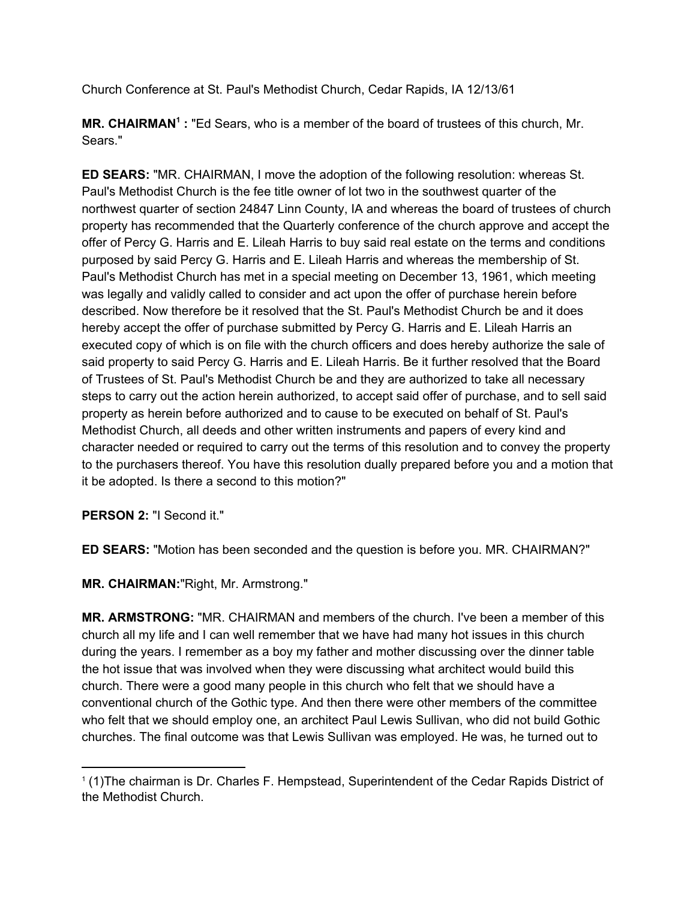Church Conference at St. Paul's Methodist Church, Cedar Rapids, IA 12/13/61

**MR. CHAIRMAN<sup>1</sup>:** "Ed Sears, who is a member of the board of trustees of this church, Mr. Sears."

**ED SEARS:** "MR. CHAIRMAN, I move the adoption of the following resolution: whereas St. Paul's Methodist Church is the fee title owner of lot two in the southwest quarter of the northwest quarter of section 24847 Linn County, IA and whereas the board of trustees of church property has recommended that the Quarterly conference of the church approve and accept the offer of Percy G. Harris and E. Lileah Harris to buy said real estate on the terms and conditions purposed by said Percy G. Harris and E. Lileah Harris and whereas the membership of St. Paul's Methodist Church has met in a special meeting on December 13, 1961, which meeting was legally and validly called to consider and act upon the offer of purchase herein before described. Now therefore be it resolved that the St. Paul's Methodist Church be and it does hereby accept the offer of purchase submitted by Percy G. Harris and E. Lileah Harris an executed copy of which is on file with the church officers and does hereby authorize the sale of said property to said Percy G. Harris and E. Lileah Harris. Be it further resolved that the Board of Trustees of St. Paul's Methodist Church be and they are authorized to take all necessary steps to carry out the action herein authorized, to accept said offer of purchase, and to sell said property as herein before authorized and to cause to be executed on behalf of St. Paul's Methodist Church, all deeds and other written instruments and papers of every kind and character needed or required to carry out the terms of this resolution and to convey the property to the purchasers thereof. You have this resolution dually prepared before you and a motion that it be adopted. Is there a second to this motion?"

**PERSON 2:** "I Second it."

**ED SEARS:** "Motion has been seconded and the question is before you. MR. CHAIRMAN?"

**MR. CHAIRMAN:**"Right, Mr. Armstrong."

**MR. ARMSTRONG:** "MR. CHAIRMAN and members of the church. I've been a member of this church all my life and I can well remember that we have had many hot issues in this church during the years. I remember as a boy my father and mother discussing over the dinner table the hot issue that was involved when they were discussing what architect would build this church. There were a good many people in this church who felt that we should have a conventional church of the Gothic type. And then there were other members of the committee who felt that we should employ one, an architect Paul Lewis Sullivan, who did not build Gothic churches. The final outcome was that Lewis Sullivan was employed. He was, he turned out to

<sup>&</sup>lt;sup>1</sup> (1) The chairman is Dr. Charles F. Hempstead, Superintendent of the Cedar Rapids District of the Methodist Church.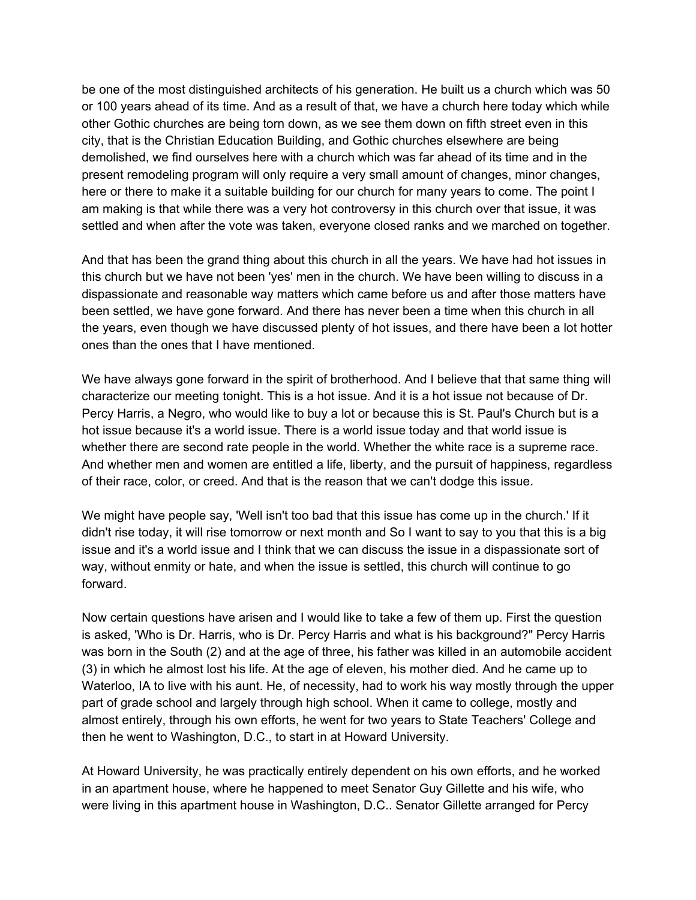be one of the most distinguished architects of his generation. He built us a church which was 50 or 100 years ahead of its time. And as a result of that, we have a church here today which while other Gothic churches are being torn down, as we see them down on fifth street even in this city, that is the Christian Education Building, and Gothic churches elsewhere are being demolished, we find ourselves here with a church which was far ahead of its time and in the present remodeling program will only require a very small amount of changes, minor changes, here or there to make it a suitable building for our church for many years to come. The point I am making is that while there was a very hot controversy in this church over that issue, it was settled and when after the vote was taken, everyone closed ranks and we marched on together.

And that has been the grand thing about this church in all the years. We have had hot issues in this church but we have not been 'yes' men in the church. We have been willing to discuss in a dispassionate and reasonable way matters which came before us and after those matters have been settled, we have gone forward. And there has never been a time when this church in all the years, even though we have discussed plenty of hot issues, and there have been a lot hotter ones than the ones that I have mentioned.

We have always gone forward in the spirit of brotherhood. And I believe that that same thing will characterize our meeting tonight. This is a hot issue. And it is a hot issue not because of Dr. Percy Harris, a Negro, who would like to buy a lot or because this is St. Paul's Church but is a hot issue because it's a world issue. There is a world issue today and that world issue is whether there are second rate people in the world. Whether the white race is a supreme race. And whether men and women are entitled a life, liberty, and the pursuit of happiness, regardless of their race, color, or creed. And that is the reason that we can't dodge this issue.

We might have people say, 'Well isn't too bad that this issue has come up in the church.' If it didn't rise today, it will rise tomorrow or next month and So I want to say to you that this is a big issue and it's a world issue and I think that we can discuss the issue in a dispassionate sort of way, without enmity or hate, and when the issue is settled, this church will continue to go forward.

Now certain questions have arisen and I would like to take a few of them up. First the question is asked, 'Who is Dr. Harris, who is Dr. Percy Harris and what is his background?" Percy Harris was born in the South (2) and at the age of three, his father was killed in an automobile accident (3) in which he almost lost his life. At the age of eleven, his mother died. And he came up to Waterloo, IA to live with his aunt. He, of necessity, had to work his way mostly through the upper part of grade school and largely through high school. When it came to college, mostly and almost entirely, through his own efforts, he went for two years to State Teachers' College and then he went to Washington, D.C., to start in at Howard University.

At Howard University, he was practically entirely dependent on his own efforts, and he worked in an apartment house, where he happened to meet Senator Guy Gillette and his wife, who were living in this apartment house in Washington, D.C.. Senator Gillette arranged for Percy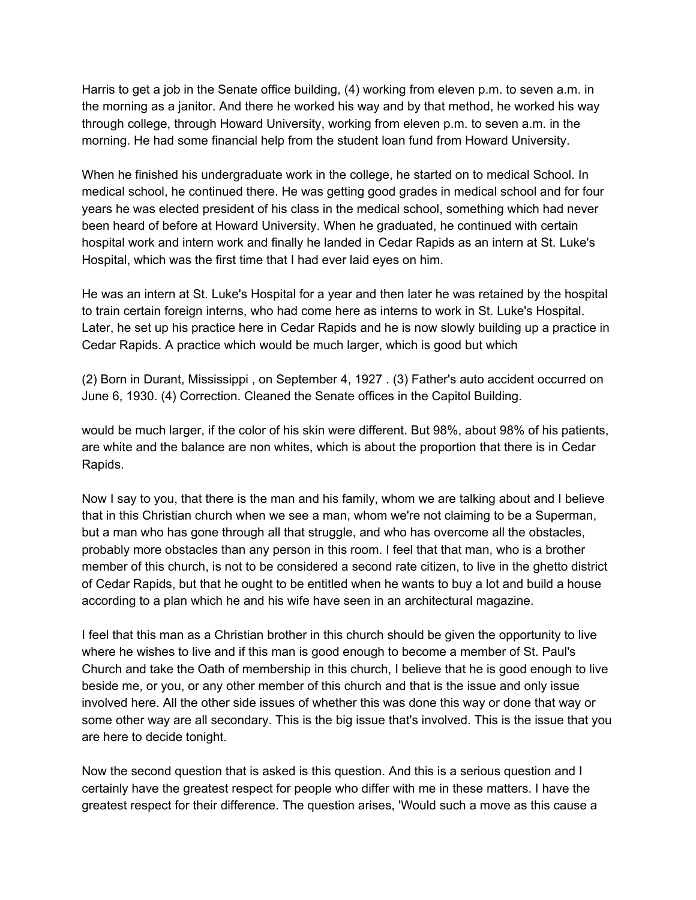Harris to get a job in the Senate office building, (4) working from eleven p.m. to seven a.m. in the morning as a janitor. And there he worked his way and by that method, he worked his way through college, through Howard University, working from eleven p.m. to seven a.m. in the morning. He had some financial help from the student loan fund from Howard University.

When he finished his undergraduate work in the college, he started on to medical School. In medical school, he continued there. He was getting good grades in medical school and for four years he was elected president of his class in the medical school, something which had never been heard of before at Howard University. When he graduated, he continued with certain hospital work and intern work and finally he landed in Cedar Rapids as an intern at St. Luke's Hospital, which was the first time that I had ever laid eyes on him.

He was an intern at St. Luke's Hospital for a year and then later he was retained by the hospital to train certain foreign interns, who had come here as interns to work in St. Luke's Hospital. Later, he set up his practice here in Cedar Rapids and he is now slowly building up a practice in Cedar Rapids. A practice which would be much larger, which is good but which

(2) Born in Durant, Mississippi , on September 4, 1927 . (3) Father's auto accident occurred on June 6, 1930. (4) Correction. Cleaned the Senate offices in the Capitol Building.

would be much larger, if the color of his skin were different. But 98%, about 98% of his patients, are white and the balance are non whites, which is about the proportion that there is in Cedar Rapids.

Now I say to you, that there is the man and his family, whom we are talking about and I believe that in this Christian church when we see a man, whom we're not claiming to be a Superman, but a man who has gone through all that struggle, and who has overcome all the obstacles, probably more obstacles than any person in this room. I feel that that man, who is a brother member of this church, is not to be considered a second rate citizen, to live in the ghetto district of Cedar Rapids, but that he ought to be entitled when he wants to buy a lot and build a house according to a plan which he and his wife have seen in an architectural magazine.

I feel that this man as a Christian brother in this church should be given the opportunity to live where he wishes to live and if this man is good enough to become a member of St. Paul's Church and take the Oath of membership in this church, I believe that he is good enough to live beside me, or you, or any other member of this church and that is the issue and only issue involved here. All the other side issues of whether this was done this way or done that way or some other way are all secondary. This is the big issue that's involved. This is the issue that you are here to decide tonight.

Now the second question that is asked is this question. And this is a serious question and I certainly have the greatest respect for people who differ with me in these matters. I have the greatest respect for their difference. The question arises, 'Would such a move as this cause a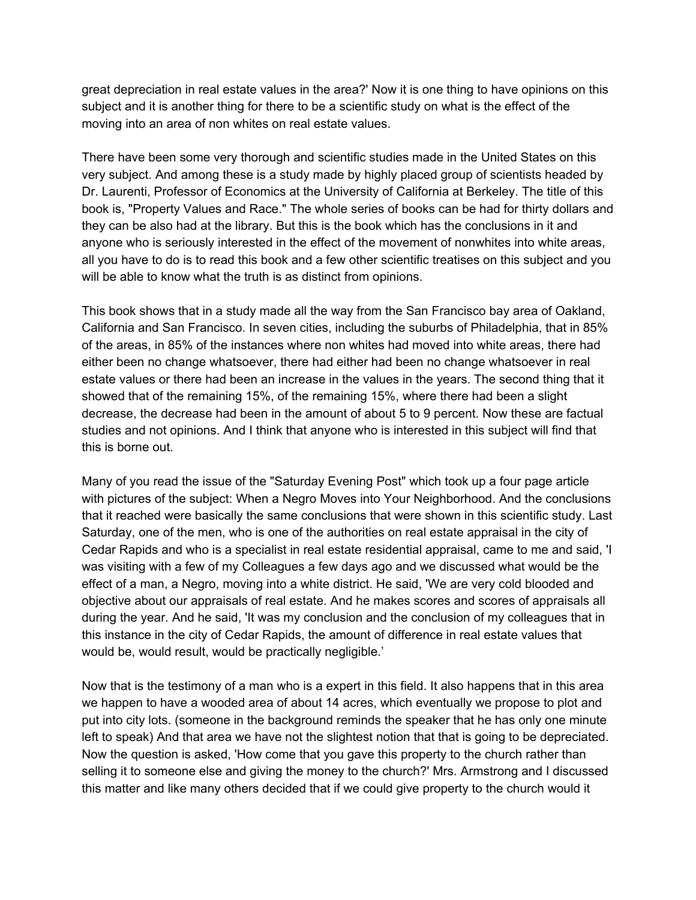great depreciation in real estate values in the area?' Now it is one thing to have opinions on this subject and it is another thing for there to be a scientific study on what is the effect of the moving into an area of non whites on real estate values.

There have been some very thorough and scientific studies made in the United States on this very subject. And among these is a study made by highly placed group of scientists headed by Dr. Laurenti, Professor of Economics at the University of California at Berkeley. The title of this book is, "Property Values and Race." The whole series of books can be had for thirty dollars and they can be also had at the library. But this is the book which has the conclusions in it and anyone who is seriously interested in the effect of the movement of nonwhites into white areas, all you have to do is to read this book and a few other scientific treatises on this subject and you will be able to know what the truth is as distinct from opinions.

This book shows that in a study made all the way from the San Francisco bay area of Oakland, California and San Francisco. In seven cities, including the suburbs of Philadelphia, that in 85% of the areas, in 85% of the instances where non whites had moved into white areas, there had either been no change whatsoever, there had either had been no change whatsoever in real estate values or there had been an increase in the values in the years. The second thing that it showed that of the remaining 15%, of the remaining 15%, where there had been a slight decrease, the decrease had been in the amount of about 5 to 9 percent. Now these are factual studies and not opinions. And I think that anyone who is interested in this subject will find that this is borne out.

Many of you read the issue of the "Saturday Evening Post" which took up a four page article with pictures of the subject: When a Negro Moves into Your Neighborhood. And the conclusions that it reached were basically the same conclusions that were shown in this scientific study. Last Saturday, one of the men, who is one of the authorities on real estate appraisal in the city of Cedar Rapids and who is a specialist in real estate residential appraisal, came to me and said, 'I was visiting with a few of my Colleagues a few days ago and we discussed what would be the effect of a man, a Negro, moving into a white district. He said, 'We are very cold blooded and objective about our appraisals of real estate. And he makes scores and scores of appraisals all during the year. And he said, 'It was my conclusion and the conclusion of my colleagues that in this instance in the city of Cedar Rapids, the amount of difference in real estate values that would be, would result, would be practically negligible.'

Now that is the testimony of a man who is a expert in this field. It also happens that in this area we happen to have a wooded area of about 14 acres, which eventually we propose to plot and put into city lots. (someone in the background reminds the speaker that he has only one minute left to speak) And that area we have not the slightest notion that that is going to be depreciated. Now the question is asked, 'How come that you gave this property to the church rather than selling it to someone else and giving the money to the church?' Mrs. Armstrong and I discussed this matter and like many others decided that if we could give property to the church would it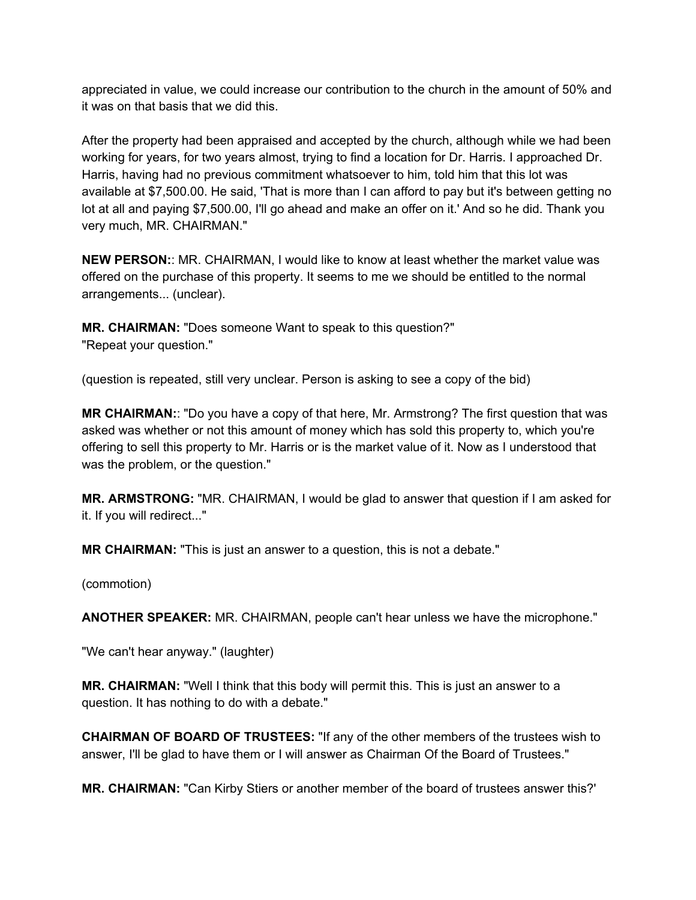appreciated in value, we could increase our contribution to the church in the amount of 50% and it was on that basis that we did this.

After the property had been appraised and accepted by the church, although while we had been working for years, for two years almost, trying to find a location for Dr. Harris. I approached Dr. Harris, having had no previous commitment whatsoever to him, told him that this lot was available at \$7,500.00. He said, 'That is more than I can afford to pay but it's between getting no lot at all and paying \$7,500.00, I'll go ahead and make an offer on it.' And so he did. Thank you very much, MR. CHAIRMAN."

**NEW PERSON:**: MR. CHAIRMAN, I would like to know at least whether the market value was offered on the purchase of this property. It seems to me we should be entitled to the normal arrangements... (unclear).

**MR. CHAIRMAN:** "Does someone Want to speak to this question?" "Repeat your question."

(question is repeated, still very unclear. Person is asking to see a copy of the bid)

**MR CHAIRMAN:**: "Do you have a copy of that here, Mr. Armstrong? The first question that was asked was whether or not this amount of money which has sold this property to, which you're offering to sell this property to Mr. Harris or is the market value of it. Now as I understood that was the problem, or the question."

**MR. ARMSTRONG:** "MR. CHAIRMAN, I would be glad to answer that question if I am asked for it. If you will redirect..."

**MR CHAIRMAN:** "This is just an answer to a question, this is not a debate."

(commotion)

**ANOTHER SPEAKER:** MR. CHAIRMAN, people can't hear unless we have the microphone."

"We can't hear anyway." (laughter)

**MR. CHAIRMAN:** "Well I think that this body will permit this. This is just an answer to a question. It has nothing to do with a debate."

**CHAIRMAN OF BOARD OF TRUSTEES:** "If any of the other members of the trustees wish to answer, I'll be glad to have them or I will answer as Chairman Of the Board of Trustees."

**MR. CHAIRMAN:** "Can Kirby Stiers or another member of the board of trustees answer this?'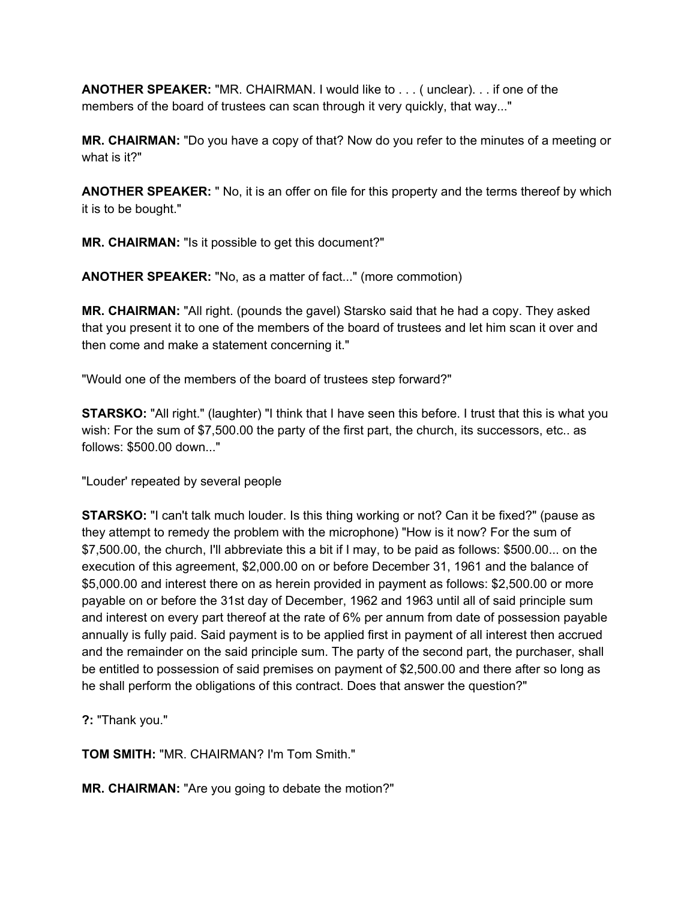**ANOTHER SPEAKER:** "MR. CHAIRMAN. I would like to . . . ( unclear). . . if one of the members of the board of trustees can scan through it very quickly, that way..."

**MR. CHAIRMAN:** "Do you have a copy of that? Now do you refer to the minutes of a meeting or what is it?"

**ANOTHER SPEAKER:** " No, it is an offer on file for this property and the terms thereof by which it is to be bought."

**MR. CHAIRMAN:** "Is it possible to get this document?"

**ANOTHER SPEAKER:** "No, as a matter of fact..." (more commotion)

**MR. CHAIRMAN:** "All right. (pounds the gavel) Starsko said that he had a copy. They asked that you present it to one of the members of the board of trustees and let him scan it over and then come and make a statement concerning it."

"Would one of the members of the board of trustees step forward?"

**STARSKO:** "All right." (laughter) "I think that I have seen this before. I trust that this is what you wish: For the sum of \$7,500.00 the party of the first part, the church, its successors, etc.. as follows: \$500.00 down..."

"Louder' repeated by several people

**STARSKO:** "I can't talk much louder. Is this thing working or not? Can it be fixed?" (pause as they attempt to remedy the problem with the microphone) "How is it now? For the sum of \$7,500.00, the church, I'll abbreviate this a bit if I may, to be paid as follows: \$500.00... on the execution of this agreement, \$2,000.00 on or before December 31, 1961 and the balance of \$5,000.00 and interest there on as herein provided in payment as follows: \$2,500.00 or more payable on or before the 31st day of December, 1962 and 1963 until all of said principle sum and interest on every part thereof at the rate of 6% per annum from date of possession payable annually is fully paid. Said payment is to be applied first in payment of all interest then accrued and the remainder on the said principle sum. The party of the second part, the purchaser, shall be entitled to possession of said premises on payment of \$2,500.00 and there after so long as he shall perform the obligations of this contract. Does that answer the question?"

**?:** "Thank you."

**TOM SMITH:** "MR. CHAIRMAN? I'm Tom Smith."

**MR. CHAIRMAN:** "Are you going to debate the motion?"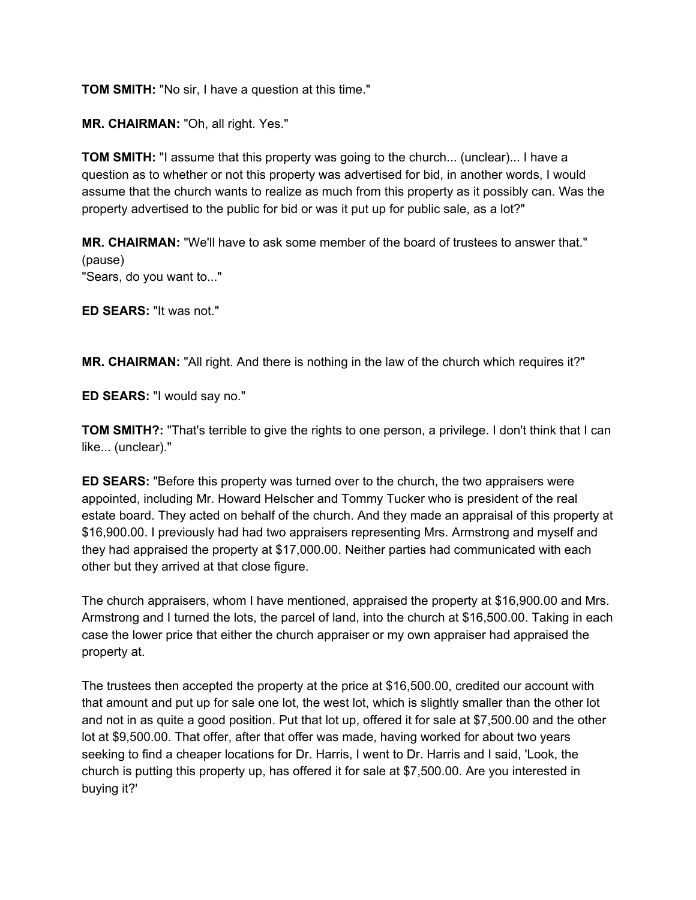**TOM SMITH:** "No sir, I have a question at this time."

**MR. CHAIRMAN:** "Oh, all right. Yes."

**TOM SMITH:** "I assume that this property was going to the church... (unclear)... I have a question as to whether or not this property was advertised for bid, in another words, I would assume that the church wants to realize as much from this property as it possibly can. Was the property advertised to the public for bid or was it put up for public sale, as a lot?"

**MR. CHAIRMAN:** "We'll have to ask some member of the board of trustees to answer that." (pause) "Sears, do you want to..."

**ED SEARS:** "It was not."

**MR. CHAIRMAN:** "All right. And there is nothing in the law of the church which requires it?"

**ED SEARS:** "I would say no."

**TOM SMITH?:** "That's terrible to give the rights to one person, a privilege. I don't think that I can like... (unclear)."

**ED SEARS:** "Before this property was turned over to the church, the two appraisers were appointed, including Mr. Howard Helscher and Tommy Tucker who is president of the real estate board. They acted on behalf of the church. And they made an appraisal of this property at \$16,900.00. I previously had had two appraisers representing Mrs. Armstrong and myself and they had appraised the property at \$17,000.00. Neither parties had communicated with each other but they arrived at that close figure.

The church appraisers, whom I have mentioned, appraised the property at \$16,900.00 and Mrs. Armstrong and I turned the lots, the parcel of land, into the church at \$16,500.00. Taking in each case the lower price that either the church appraiser or my own appraiser had appraised the property at.

The trustees then accepted the property at the price at \$16,500.00, credited our account with that amount and put up for sale one lot, the west lot, which is slightly smaller than the other lot and not in as quite a good position. Put that lot up, offered it for sale at \$7,500.00 and the other lot at \$9,500.00. That offer, after that offer was made, having worked for about two years seeking to find a cheaper locations for Dr. Harris, I went to Dr. Harris and I said, 'Look, the church is putting this property up, has offered it for sale at \$7,500.00. Are you interested in buying it?'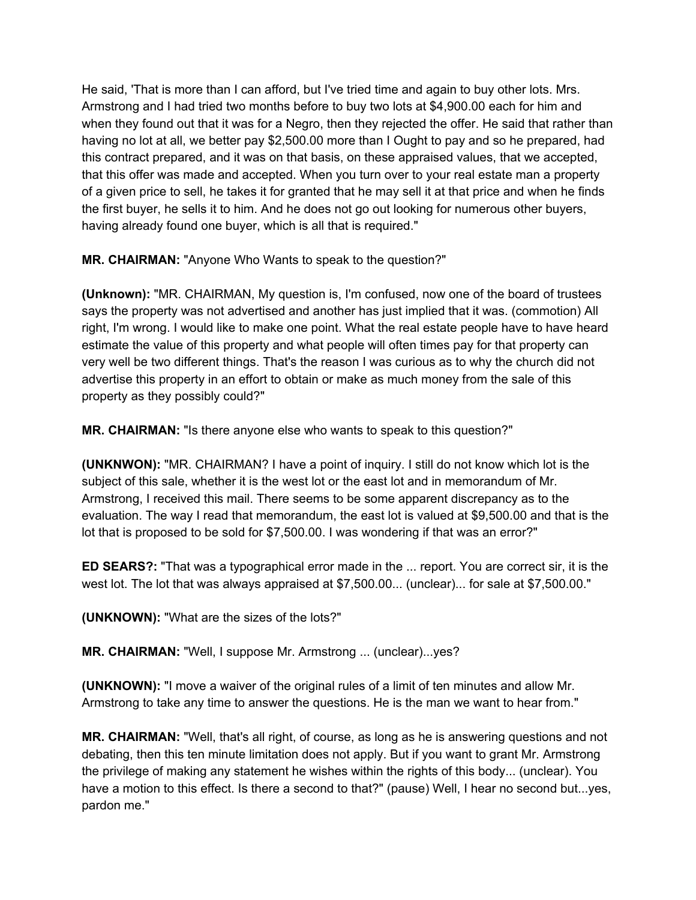He said, 'That is more than I can afford, but I've tried time and again to buy other lots. Mrs. Armstrong and I had tried two months before to buy two lots at \$4,900.00 each for him and when they found out that it was for a Negro, then they rejected the offer. He said that rather than having no lot at all, we better pay \$2,500.00 more than I Ought to pay and so he prepared, had this contract prepared, and it was on that basis, on these appraised values, that we accepted, that this offer was made and accepted. When you turn over to your real estate man a property of a given price to sell, he takes it for granted that he may sell it at that price and when he finds the first buyer, he sells it to him. And he does not go out looking for numerous other buyers, having already found one buyer, which is all that is required."

**MR. CHAIRMAN:** "Anyone Who Wants to speak to the question?"

**(Unknown):** "MR. CHAIRMAN, My question is, I'm confused, now one of the board of trustees says the property was not advertised and another has just implied that it was. (commotion) All right, I'm wrong. I would like to make one point. What the real estate people have to have heard estimate the value of this property and what people will often times pay for that property can very well be two different things. That's the reason I was curious as to why the church did not advertise this property in an effort to obtain or make as much money from the sale of this property as they possibly could?"

**MR. CHAIRMAN:** "Is there anyone else who wants to speak to this question?"

**(UNKNWON):** "MR. CHAIRMAN? I have a point of inquiry. I still do not know which lot is the subject of this sale, whether it is the west lot or the east lot and in memorandum of Mr. Armstrong, I received this mail. There seems to be some apparent discrepancy as to the evaluation. The way I read that memorandum, the east lot is valued at \$9,500.00 and that is the lot that is proposed to be sold for \$7,500.00. I was wondering if that was an error?"

**ED SEARS?:** "That was a typographical error made in the ... report. You are correct sir, it is the west lot. The lot that was always appraised at \$7,500.00... (unclear)... for sale at \$7,500.00."

**(UNKNOWN):** "What are the sizes of the lots?"

**MR. CHAIRMAN:** "Well, I suppose Mr. Armstrong ... (unclear)...yes?

**(UNKNOWN):** "I move a waiver of the original rules of a limit of ten minutes and allow Mr. Armstrong to take any time to answer the questions. He is the man we want to hear from."

**MR. CHAIRMAN:** "Well, that's all right, of course, as long as he is answering questions and not debating, then this ten minute limitation does not apply. But if you want to grant Mr. Armstrong the privilege of making any statement he wishes within the rights of this body... (unclear). You have a motion to this effect. Is there a second to that?" (pause) Well, I hear no second but...yes, pardon me."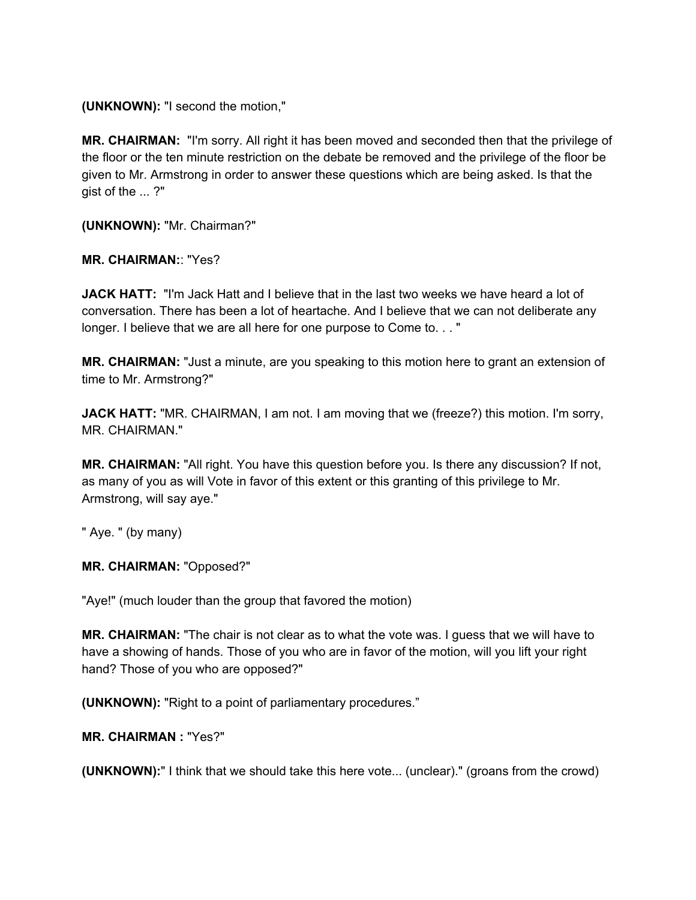**(UNKNOWN):** "I second the motion,"

**MR. CHAIRMAN:** "I'm sorry. All right it has been moved and seconded then that the privilege of the floor or the ten minute restriction on the debate be removed and the privilege of the floor be given to Mr. Armstrong in order to answer these questions which are being asked. Is that the gist of the ... ?"

**(UNKNOWN):** "Mr. Chairman?"

**MR. CHAIRMAN:**: "Yes?

**JACK HATT:** "I'm Jack Hatt and I believe that in the last two weeks we have heard a lot of conversation. There has been a lot of heartache. And I believe that we can not deliberate any longer. I believe that we are all here for one purpose to Come to. . . "

**MR. CHAIRMAN:** "Just a minute, are you speaking to this motion here to grant an extension of time to Mr. Armstrong?"

**JACK HATT:** "MR. CHAIRMAN, I am not. I am moving that we (freeze?) this motion. I'm sorry, MR. CHAIRMAN."

**MR. CHAIRMAN:** "All right. You have this question before you. Is there any discussion? If not, as many of you as will Vote in favor of this extent or this granting of this privilege to Mr. Armstrong, will say aye."

" Aye. " (by many)

**MR. CHAIRMAN:** "Opposed?"

"Aye!" (much louder than the group that favored the motion)

**MR. CHAIRMAN:** "The chair is not clear as to what the vote was. I guess that we will have to have a showing of hands. Those of you who are in favor of the motion, will you lift your right hand? Those of you who are opposed?"

**(UNKNOWN):** "Right to a point of parliamentary procedures."

**MR. CHAIRMAN :** "Yes?"

**(UNKNOWN):**" I think that we should take this here vote... (unclear)." (groans from the crowd)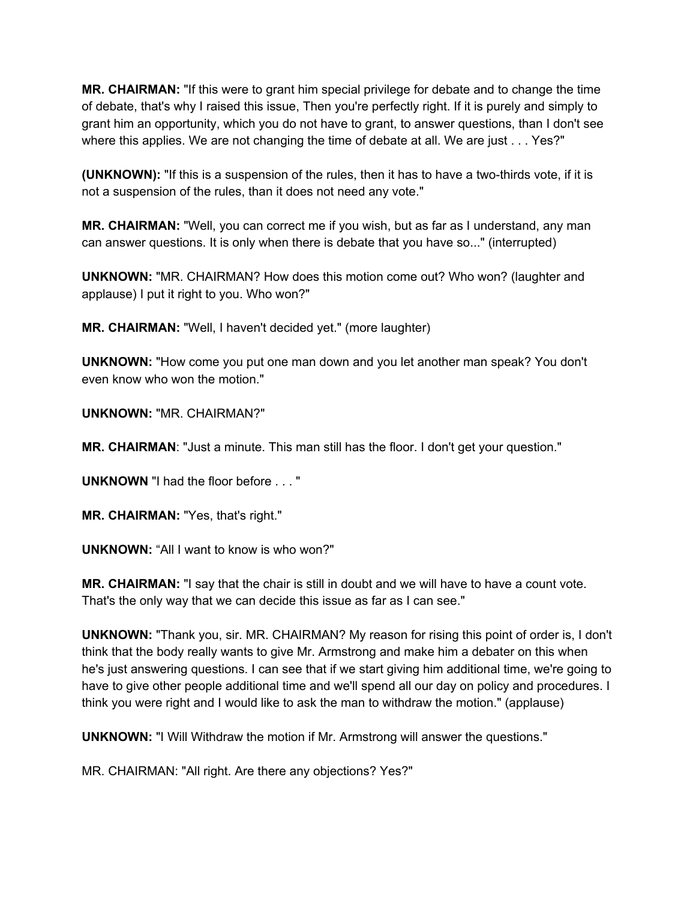**MR. CHAIRMAN:** "If this were to grant him special privilege for debate and to change the time of debate, that's why I raised this issue, Then you're perfectly right. If it is purely and simply to grant him an opportunity, which you do not have to grant, to answer questions, than I don't see where this applies. We are not changing the time of debate at all. We are just . . . Yes?"

**(UNKNOWN):** "If this is a suspension of the rules, then it has to have a two-thirds vote, if it is not a suspension of the rules, than it does not need any vote."

**MR. CHAIRMAN:** "Well, you can correct me if you wish, but as far as I understand, any man can answer questions. It is only when there is debate that you have so..." (interrupted)

**UNKNOWN:** "MR. CHAIRMAN? How does this motion come out? Who won? (laughter and applause) I put it right to you. Who won?"

**MR. CHAIRMAN:** "Well, I haven't decided yet." (more laughter)

**UNKNOWN:** "How come you put one man down and you let another man speak? You don't even know who won the motion."

**UNKNOWN:** "MR. CHAIRMAN?"

**MR. CHAIRMAN**: "Just a minute. This man still has the floor. I don't get your question."

**UNKNOWN** "I had the floor before . . . "

**MR. CHAIRMAN:** "Yes, that's right."

**UNKNOWN:** "All I want to know is who won?"

**MR. CHAIRMAN:** "I say that the chair is still in doubt and we will have to have a count vote. That's the only way that we can decide this issue as far as I can see."

**UNKNOWN:** "Thank you, sir. MR. CHAIRMAN? My reason for rising this point of order is, I don't think that the body really wants to give Mr. Armstrong and make him a debater on this when he's just answering questions. I can see that if we start giving him additional time, we're going to have to give other people additional time and we'll spend all our day on policy and procedures. I think you were right and I would like to ask the man to withdraw the motion." (applause)

**UNKNOWN:** "I Will Withdraw the motion if Mr. Armstrong will answer the questions."

MR. CHAIRMAN: "All right. Are there any objections? Yes?"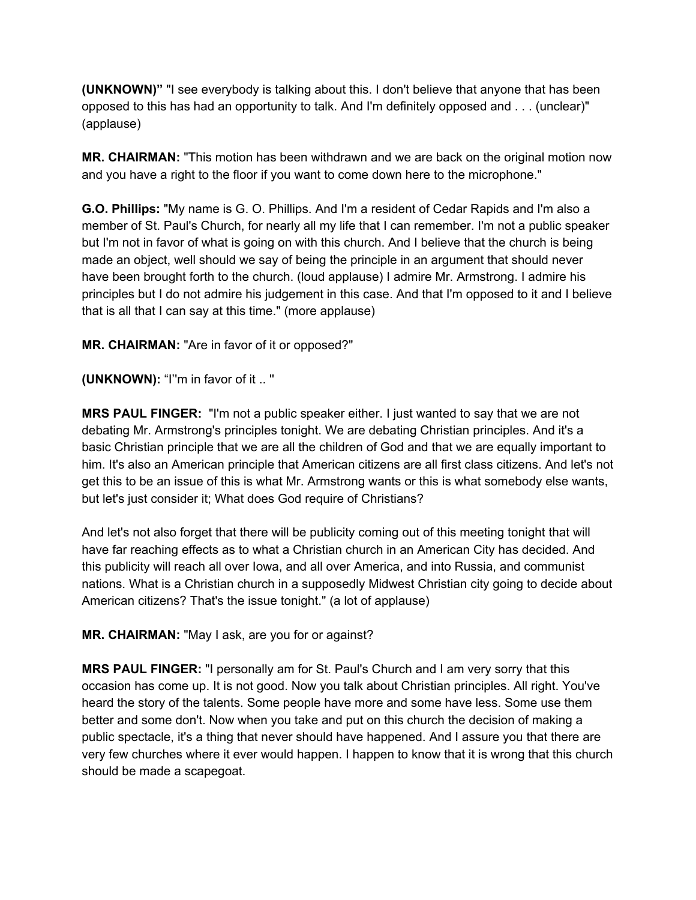**(UNKNOWN)"** "I see everybody is talking about this. I don't believe that anyone that has been opposed to this has had an opportunity to talk. And I'm definitely opposed and . . . (unclear)" (applause)

**MR. CHAIRMAN:** "This motion has been withdrawn and we are back on the original motion now and you have a right to the floor if you want to come down here to the microphone."

**G.O. Phillips:** "My name is G. O. Phillips. And I'm a resident of Cedar Rapids and I'm also a member of St. Paul's Church, for nearly all my life that I can remember. I'm not a public speaker but I'm not in favor of what is going on with this church. And I believe that the church is being made an object, well should we say of being the principle in an argument that should never have been brought forth to the church. (loud applause) I admire Mr. Armstrong. I admire his principles but I do not admire his judgement in this case. And that I'm opposed to it and I believe that is all that I can say at this time." (more applause)

**MR. CHAIRMAN:** "Are in favor of it or opposed?"

**(UNKNOWN):** "I''m in favor of it .. ''

**MRS PAUL FINGER:** "I'm not a public speaker either. I just wanted to say that we are not debating Mr. Armstrong's principles tonight. We are debating Christian principles. And it's a basic Christian principle that we are all the children of God and that we are equally important to him. It's also an American principle that American citizens are all first class citizens. And let's not get this to be an issue of this is what Mr. Armstrong wants or this is what somebody else wants, but let's just consider it; What does God require of Christians?

And let's not also forget that there will be publicity coming out of this meeting tonight that will have far reaching effects as to what a Christian church in an American City has decided. And this publicity will reach all over Iowa, and all over America, and into Russia, and communist nations. What is a Christian church in a supposedly Midwest Christian city going to decide about American citizens? That's the issue tonight." (a lot of applause)

**MR. CHAIRMAN:** "May I ask, are you for or against?

**MRS PAUL FINGER:** "I personally am for St. Paul's Church and I am very sorry that this occasion has come up. It is not good. Now you talk about Christian principles. All right. You've heard the story of the talents. Some people have more and some have less. Some use them better and some don't. Now when you take and put on this church the decision of making a public spectacle, it's a thing that never should have happened. And I assure you that there are very few churches where it ever would happen. I happen to know that it is wrong that this church should be made a scapegoat.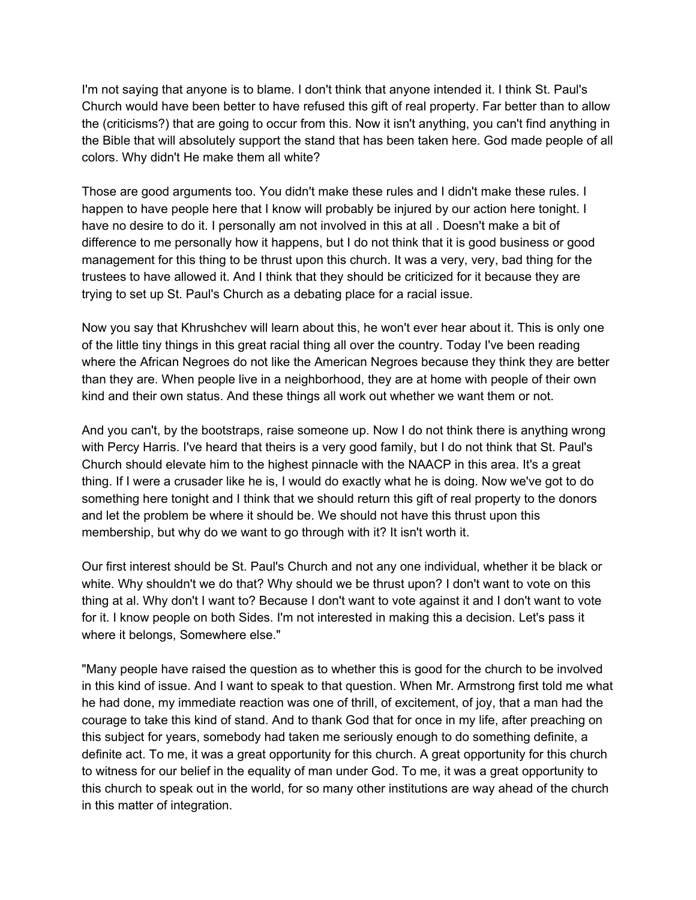I'm not saying that anyone is to blame. I don't think that anyone intended it. I think St. Paul's Church would have been better to have refused this gift of real property. Far better than to allow the (criticisms?) that are going to occur from this. Now it isn't anything, you can't find anything in the Bible that will absolutely support the stand that has been taken here. God made people of all colors. Why didn't He make them all white?

Those are good arguments too. You didn't make these rules and I didn't make these rules. I happen to have people here that I know will probably be injured by our action here tonight. I have no desire to do it. I personally am not involved in this at all . Doesn't make a bit of difference to me personally how it happens, but I do not think that it is good business or good management for this thing to be thrust upon this church. It was a very, very, bad thing for the trustees to have allowed it. And I think that they should be criticized for it because they are trying to set up St. Paul's Church as a debating place for a racial issue.

Now you say that Khrushchev will learn about this, he won't ever hear about it. This is only one of the little tiny things in this great racial thing all over the country. Today I've been reading where the African Negroes do not like the American Negroes because they think they are better than they are. When people live in a neighborhood, they are at home with people of their own kind and their own status. And these things all work out whether we want them or not.

And you can't, by the bootstraps, raise someone up. Now I do not think there is anything wrong with Percy Harris. I've heard that theirs is a very good family, but I do not think that St. Paul's Church should elevate him to the highest pinnacle with the NAACP in this area. It's a great thing. If I were a crusader like he is, I would do exactly what he is doing. Now we've got to do something here tonight and I think that we should return this gift of real property to the donors and let the problem be where it should be. We should not have this thrust upon this membership, but why do we want to go through with it? It isn't worth it.

Our first interest should be St. Paul's Church and not any one individual, whether it be black or white. Why shouldn't we do that? Why should we be thrust upon? I don't want to vote on this thing at al. Why don't I want to? Because I don't want to vote against it and I don't want to vote for it. I know people on both Sides. I'm not interested in making this a decision. Let's pass it where it belongs, Somewhere else."

"Many people have raised the question as to whether this is good for the church to be involved in this kind of issue. And I want to speak to that question. When Mr. Armstrong first told me what he had done, my immediate reaction was one of thrill, of excitement, of joy, that a man had the courage to take this kind of stand. And to thank God that for once in my life, after preaching on this subject for years, somebody had taken me seriously enough to do something definite, a definite act. To me, it was a great opportunity for this church. A great opportunity for this church to witness for our belief in the equality of man under God. To me, it was a great opportunity to this church to speak out in the world, for so many other institutions are way ahead of the church in this matter of integration.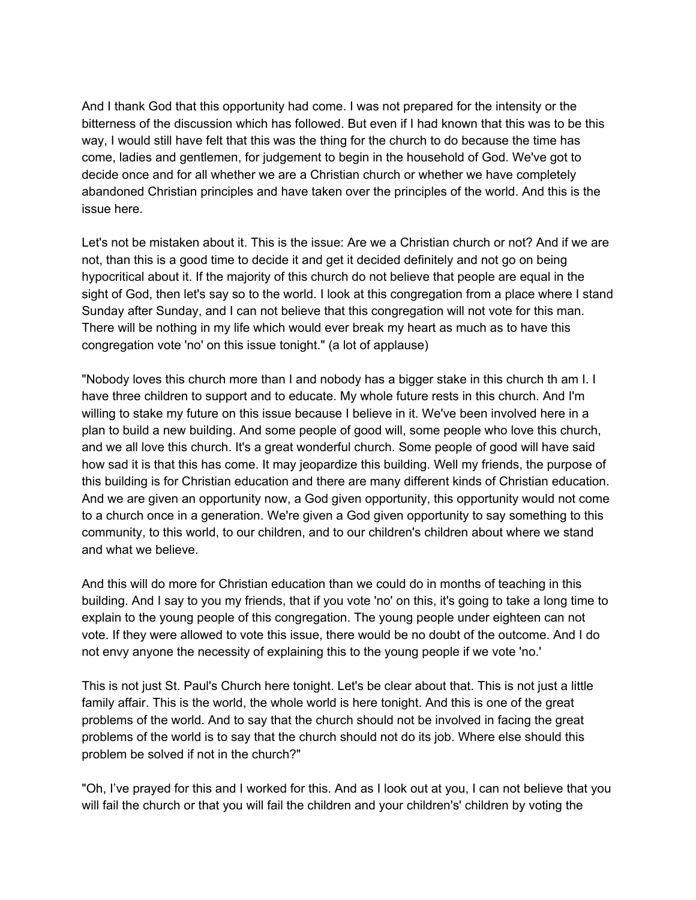And I thank God that this opportunity had come. I was not prepared for the intensity or the bitterness of the discussion which has followed. But even if I had known that this was to be this way, I would still have felt that this was the thing for the church to do because the time has come, ladies and gentlemen, for judgement to begin in the household of God. We've got to decide once and for all whether we are a Christian church or whether we have completely abandoned Christian principles and have taken over the principles of the world. And this is the issue here.

Let's not be mistaken about it. This is the issue: Are we a Christian church or not? And if we are not, than this is a good time to decide it and get it decided definitely and not go on being hypocritical about it. If the majority of this church do not believe that people are equal in the sight of God, then let's say so to the world. I look at this congregation from a place where I stand Sunday after Sunday, and I can not believe that this congregation will not vote for this man. There will be nothing in my life which would ever break my heart as much as to have this congregation vote 'no' on this issue tonight." (a lot of applause)

"Nobody loves this church more than I and nobody has a bigger stake in this church th am I. I have three children to support and to educate. My whole future rests in this church. And I'm willing to stake my future on this issue because I believe in it. We've been involved here in a plan to build a new building. And some people of good will, some people who love this church, and we all love this church. It's a great wonderful church. Some people of good will have said how sad it is that this has come. It may jeopardize this building. Well my friends, the purpose of this building is for Christian education and there are many different kinds of Christian education. And we are given an opportunity now, a God given opportunity, this opportunity would not come to a church once in a generation. We're given a God given opportunity to say something to this community, to this world, to our children, and to our children's children about where we stand and what we believe.

And this will do more for Christian education than we could do in months of teaching in this building. And I say to you my friends, that if you vote 'no' on this, it's going to take a long time to explain to the young people of this congregation. The young people under eighteen can not vote. If they were allowed to vote this issue, there would be no doubt of the outcome. And I do not envy anyone the necessity of explaining this to the young people if we vote 'no.'

This is not just St. Paul's Church here tonight. Let's be clear about that. This is not just a little family affair. This is the world, the whole world is here tonight. And this is one of the great problems of the world. And to say that the church should not be involved in facing the great problems of the world is to say that the church should not do its job. Where else should this problem be solved if not in the church?"

"Oh, I've prayed for this and I worked for this. And as I look out at you, I can not believe that you will fail the church or that you will fail the children and your children's' children by voting the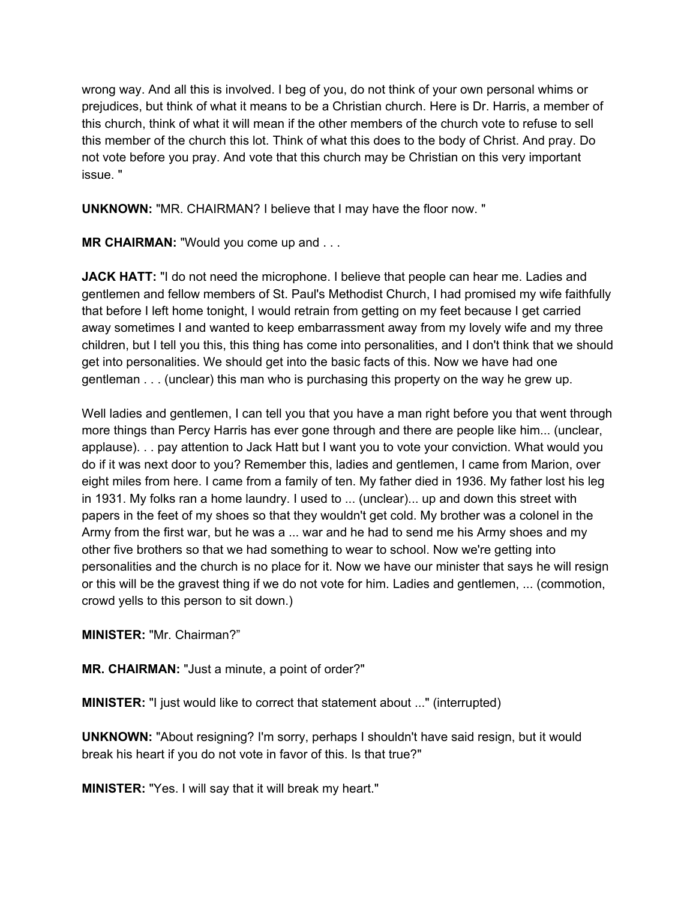wrong way. And all this is involved. I beg of you, do not think of your own personal whims or prejudices, but think of what it means to be a Christian church. Here is Dr. Harris, a member of this church, think of what it will mean if the other members of the church vote to refuse to sell this member of the church this lot. Think of what this does to the body of Christ. And pray. Do not vote before you pray. And vote that this church may be Christian on this very important issue. "

**UNKNOWN:** "MR. CHAIRMAN? I believe that I may have the floor now. "

**MR CHAIRMAN:** "Would you come up and . . .

**JACK HATT:** "I do not need the microphone. I believe that people can hear me. Ladies and gentlemen and fellow members of St. Paul's Methodist Church, I had promised my wife faithfully that before I left home tonight, I would retrain from getting on my feet because I get carried away sometimes I and wanted to keep embarrassment away from my lovely wife and my three children, but I tell you this, this thing has come into personalities, and I don't think that we should get into personalities. We should get into the basic facts of this. Now we have had one gentleman . . . (unclear) this man who is purchasing this property on the way he grew up.

Well ladies and gentlemen, I can tell you that you have a man right before you that went through more things than Percy Harris has ever gone through and there are people like him... (unclear, applause). . . pay attention to Jack Hatt but I want you to vote your conviction. What would you do if it was next door to you? Remember this, ladies and gentlemen, I came from Marion, over eight miles from here. I came from a family of ten. My father died in 1936. My father lost his leg in 1931. My folks ran a home laundry. I used to ... (unclear)... up and down this street with papers in the feet of my shoes so that they wouldn't get cold. My brother was a colonel in the Army from the first war, but he was a ... war and he had to send me his Army shoes and my other five brothers so that we had something to wear to school. Now we're getting into personalities and the church is no place for it. Now we have our minister that says he will resign or this will be the gravest thing if we do not vote for him. Ladies and gentlemen, ... (commotion, crowd yells to this person to sit down.)

**MINISTER:** "Mr. Chairman?"

**MR. CHAIRMAN:** "Just a minute, a point of order?"

**MINISTER:** "I just would like to correct that statement about ..." (interrupted)

**UNKNOWN:** "About resigning? I'm sorry, perhaps I shouldn't have said resign, but it would break his heart if you do not vote in favor of this. Is that true?"

**MINISTER:** "Yes. I will say that it will break my heart."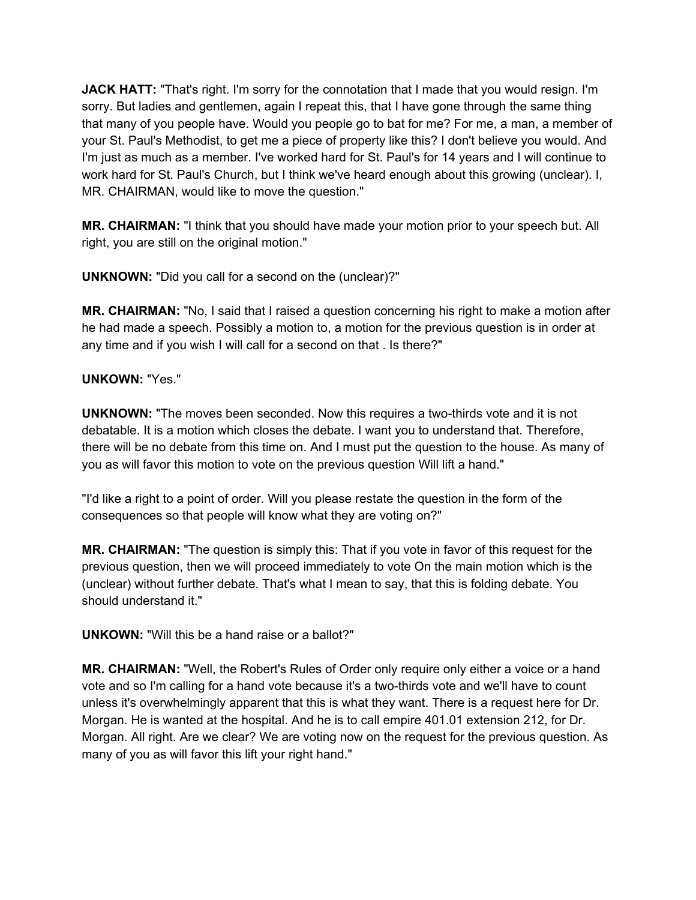**JACK HATT:** "That's right. I'm sorry for the connotation that I made that you would resign. I'm sorry. But ladies and gentlemen, again I repeat this, that I have gone through the same thing that many of you people have. Would you people go to bat for me? For me, a man, a member of your St. Paul's Methodist, to get me a piece of property like this? I don't believe you would. And I'm just as much as a member. I've worked hard for St. Paul's for 14 years and I will continue to work hard for St. Paul's Church, but I think we've heard enough about this growing (unclear). I, MR. CHAIRMAN, would like to move the question."

**MR. CHAIRMAN:** "I think that you should have made your motion prior to your speech but. All right, you are still on the original motion."

**UNKNOWN:** "Did you call for a second on the (unclear)?"

**MR. CHAIRMAN:** "No, I said that I raised a question concerning his right to make a motion after he had made a speech. Possibly a motion to, a motion for the previous question is in order at any time and if you wish I will call for a second on that . Is there?"

## **UNKOWN:** "Yes."

**UNKNOWN:** "The moves been seconded. Now this requires a two-thirds vote and it is not debatable. It is a motion which closes the debate. I want you to understand that. Therefore, there will be no debate from this time on. And I must put the question to the house. As many of you as will favor this motion to vote on the previous question Will lift a hand."

"I'd like a right to a point of order. Will you please restate the question in the form of the consequences so that people will know what they are voting on?"

**MR. CHAIRMAN:** "The question is simply this: That if you vote in favor of this request for the previous question, then we will proceed immediately to vote On the main motion which is the (unclear) without further debate. That's what I mean to say, that this is folding debate. You should understand it."

**UNKOWN:** "Will this be a hand raise or a ballot?"

**MR. CHAIRMAN:** "Well, the Robert's Rules of Order only require only either a voice or a hand vote and so I'm calling for a hand vote because it's a two-thirds vote and we'll have to count unless it's overwhelmingly apparent that this is what they want. There is a request here for Dr. Morgan. He is wanted at the hospital. And he is to call empire 401.01 extension 212, for Dr. Morgan. All right. Are we clear? We are voting now on the request for the previous question. As many of you as will favor this lift your right hand."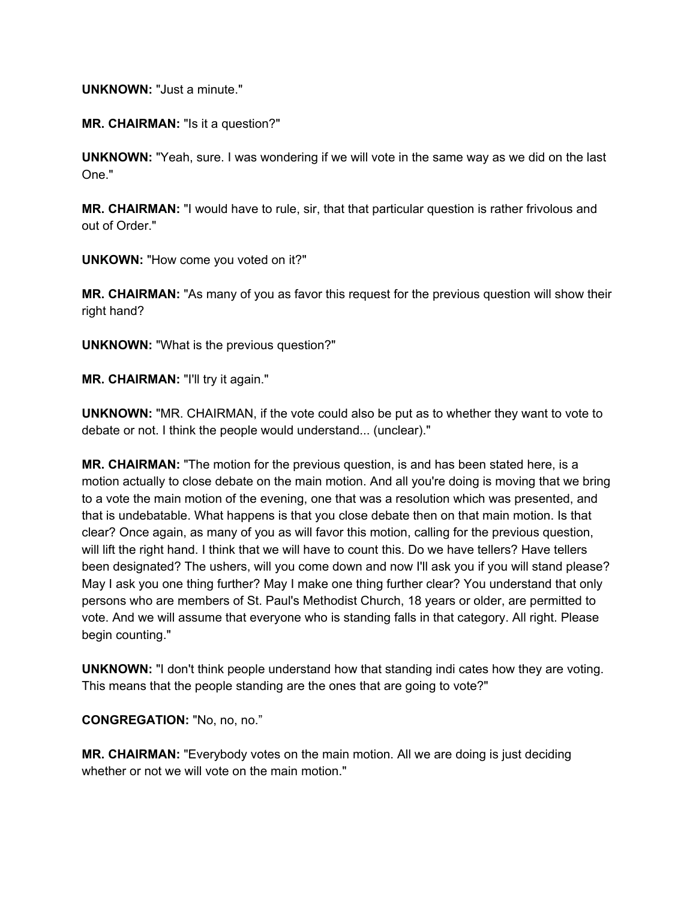## **UNKNOWN:** "Just a minute."

**MR. CHAIRMAN:** "Is it a question?"

**UNKNOWN:** "Yeah, sure. I was wondering if we will vote in the same way as we did on the last One."

**MR. CHAIRMAN:** "I would have to rule, sir, that that particular question is rather frivolous and out of Order."

**UNKOWN:** "How come you voted on it?"

**MR. CHAIRMAN:** "As many of you as favor this request for the previous question will show their right hand?

**UNKNOWN:** "What is the previous question?"

**MR. CHAIRMAN:** "I'll try it again."

**UNKNOWN:** "MR. CHAIRMAN, if the vote could also be put as to whether they want to vote to debate or not. I think the people would understand... (unclear)."

**MR. CHAIRMAN:** "The motion for the previous question, is and has been stated here, is a motion actually to close debate on the main motion. And all you're doing is moving that we bring to a vote the main motion of the evening, one that was a resolution which was presented, and that is undebatable. What happens is that you close debate then on that main motion. Is that clear? Once again, as many of you as will favor this motion, calling for the previous question, will lift the right hand. I think that we will have to count this. Do we have tellers? Have tellers been designated? The ushers, will you come down and now I'll ask you if you will stand please? May I ask you one thing further? May I make one thing further clear? You understand that only persons who are members of St. Paul's Methodist Church, 18 years or older, are permitted to vote. And we will assume that everyone who is standing falls in that category. All right. Please begin counting."

**UNKNOWN:** "I don't think people understand how that standing indi cates how they are voting. This means that the people standing are the ones that are going to vote?"

**CONGREGATION:** "No, no, no."

**MR. CHAIRMAN:** "Everybody votes on the main motion. All we are doing is just deciding whether or not we will vote on the main motion."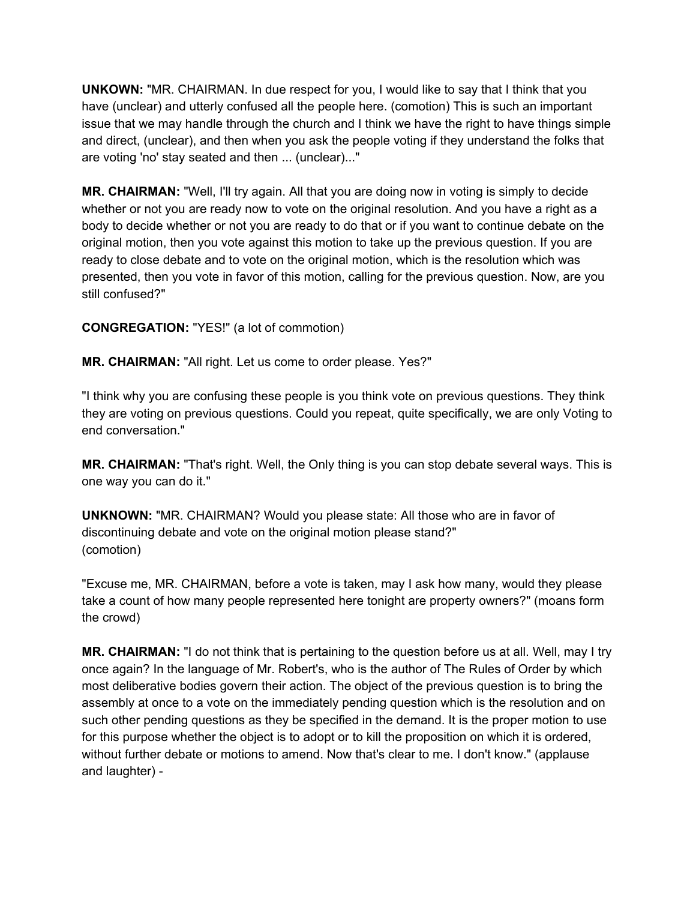**UNKOWN:** "MR. CHAIRMAN. In due respect for you, I would like to say that I think that you have (unclear) and utterly confused all the people here. (comotion) This is such an important issue that we may handle through the church and I think we have the right to have things simple and direct, (unclear), and then when you ask the people voting if they understand the folks that are voting 'no' stay seated and then ... (unclear)..."

**MR. CHAIRMAN:** "Well, I'll try again. All that you are doing now in voting is simply to decide whether or not you are ready now to vote on the original resolution. And you have a right as a body to decide whether or not you are ready to do that or if you want to continue debate on the original motion, then you vote against this motion to take up the previous question. If you are ready to close debate and to vote on the original motion, which is the resolution which was presented, then you vote in favor of this motion, calling for the previous question. Now, are you still confused?"

**CONGREGATION:** "YES!" (a lot of commotion)

**MR. CHAIRMAN:** "All right. Let us come to order please. Yes?"

"I think why you are confusing these people is you think vote on previous questions. They think they are voting on previous questions. Could you repeat, quite specifically, we are only Voting to end conversation."

**MR. CHAIRMAN:** "That's right. Well, the Only thing is you can stop debate several ways. This is one way you can do it."

**UNKNOWN:** "MR. CHAIRMAN? Would you please state: All those who are in favor of discontinuing debate and vote on the original motion please stand?" (comotion)

"Excuse me, MR. CHAIRMAN, before a vote is taken, may I ask how many, would they please take a count of how many people represented here tonight are property owners?" (moans form the crowd)

**MR. CHAIRMAN:** "I do not think that is pertaining to the question before us at all. Well, may I try once again? In the language of Mr. Robert's, who is the author of The Rules of Order by which most deliberative bodies govern their action. The object of the previous question is to bring the assembly at once to a vote on the immediately pending question which is the resolution and on such other pending questions as they be specified in the demand. It is the proper motion to use for this purpose whether the object is to adopt or to kill the proposition on which it is ordered, without further debate or motions to amend. Now that's clear to me. I don't know." (applause and laughter) -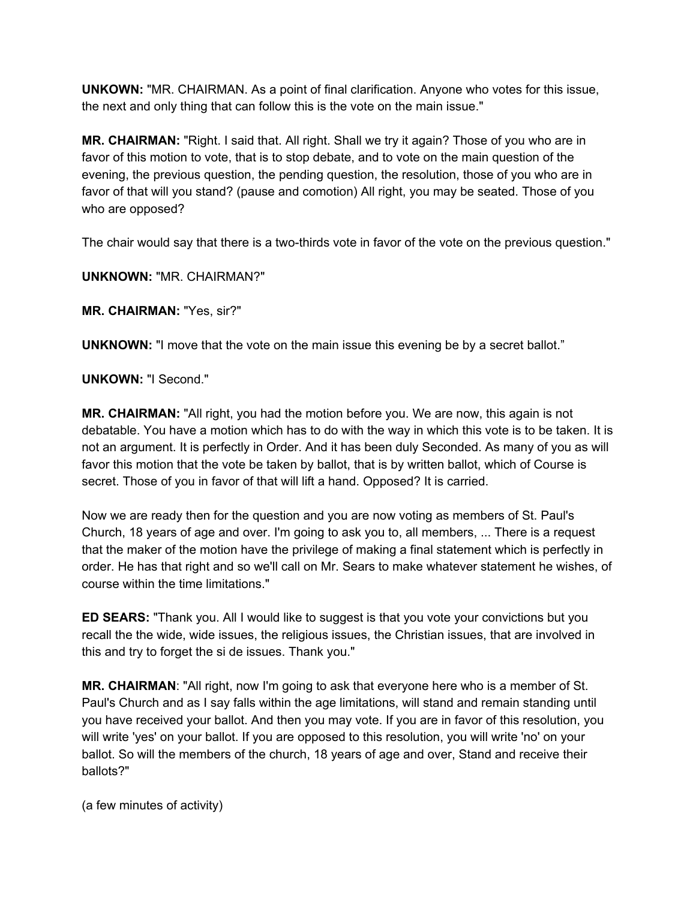**UNKOWN:** "MR. CHAIRMAN. As a point of final clarification. Anyone who votes for this issue, the next and only thing that can follow this is the vote on the main issue."

**MR. CHAIRMAN:** "Right. I said that. All right. Shall we try it again? Those of you who are in favor of this motion to vote, that is to stop debate, and to vote on the main question of the evening, the previous question, the pending question, the resolution, those of you who are in favor of that will you stand? (pause and comotion) All right, you may be seated. Those of you who are opposed?

The chair would say that there is a two-thirds vote in favor of the vote on the previous question."

**UNKNOWN:** "MR. CHAIRMAN?"

**MR. CHAIRMAN:** "Yes, sir?"

**UNKNOWN:** "I move that the vote on the main issue this evening be by a secret ballot."

## **UNKOWN:** "I Second."

**MR. CHAIRMAN:** "All right, you had the motion before you. We are now, this again is not debatable. You have a motion which has to do with the way in which this vote is to be taken. It is not an argument. It is perfectly in Order. And it has been duly Seconded. As many of you as will favor this motion that the vote be taken by ballot, that is by written ballot, which of Course is secret. Those of you in favor of that will lift a hand. Opposed? It is carried.

Now we are ready then for the question and you are now voting as members of St. Paul's Church, 18 years of age and over. I'm going to ask you to, all members, ... There is a request that the maker of the motion have the privilege of making a final statement which is perfectly in order. He has that right and so we'll call on Mr. Sears to make whatever statement he wishes, of course within the time limitations."

**ED SEARS:** "Thank you. All I would like to suggest is that you vote your convictions but you recall the the wide, wide issues, the religious issues, the Christian issues, that are involved in this and try to forget the si de issues. Thank you."

**MR. CHAIRMAN**: "All right, now I'm going to ask that everyone here who is a member of St. Paul's Church and as I say falls within the age limitations, will stand and remain standing until you have received your ballot. And then you may vote. If you are in favor of this resolution, you will write 'yes' on your ballot. If you are opposed to this resolution, you will write 'no' on your ballot. So will the members of the church, 18 years of age and over, Stand and receive their ballots?"

(a few minutes of activity)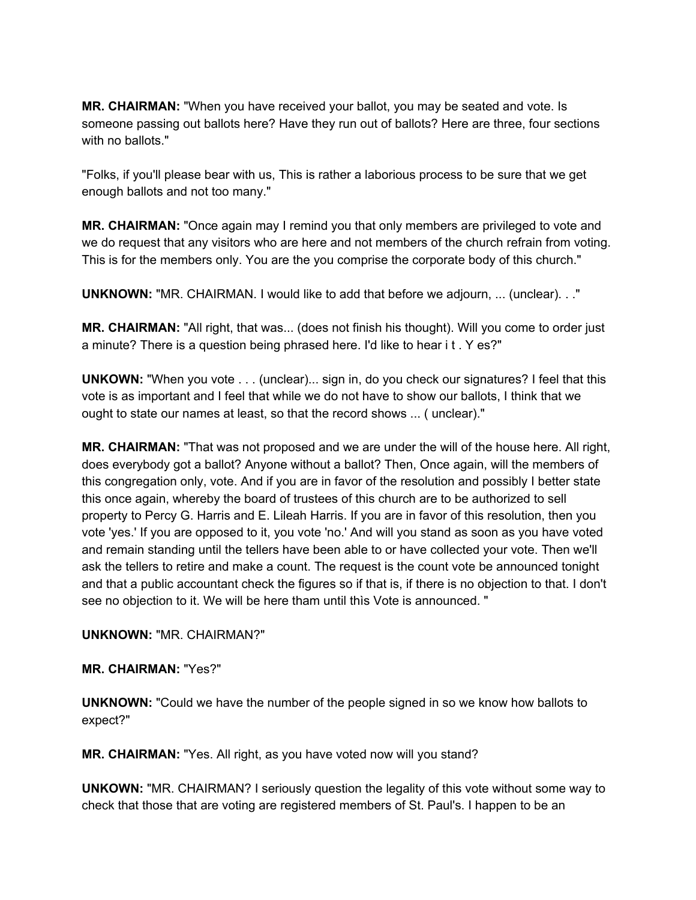**MR. CHAIRMAN:** "When you have received your ballot, you may be seated and vote. Is someone passing out ballots here? Have they run out of ballots? Here are three, four sections with no ballots."

"Folks, if you'll please bear with us, This is rather a laborious process to be sure that we get enough ballots and not too many."

**MR. CHAIRMAN:** "Once again may I remind you that only members are privileged to vote and we do request that any visitors who are here and not members of the church refrain from voting. This is for the members only. You are the you comprise the corporate body of this church."

**UNKNOWN:** "MR. CHAIRMAN. I would like to add that before we adjourn, ... (unclear). . ."

**MR. CHAIRMAN:** "All right, that was... (does not finish his thought). Will you come to order just a minute? There is a question being phrased here. I'd like to hear i t . Y es?"

**UNKOWN:** "When you vote . . . (unclear)... sign in, do you check our signatures? I feel that this vote is as important and I feel that while we do not have to show our ballots, I think that we ought to state our names at least, so that the record shows ... ( unclear)."

**MR. CHAIRMAN:** "That was not proposed and we are under the will of the house here. All right, does everybody got a ballot? Anyone without a ballot? Then, Once again, will the members of this congregation only, vote. And if you are in favor of the resolution and possibly I better state this once again, whereby the board of trustees of this church are to be authorized to sell property to Percy G. Harris and E. Lileah Harris. If you are in favor of this resolution, then you vote 'yes.' If you are opposed to it, you vote 'no.' And will you stand as soon as you have voted and remain standing until the tellers have been able to or have collected your vote. Then we'll ask the tellers to retire and make a count. The request is the count vote be announced tonight and that a public accountant check the figures so if that is, if there is no objection to that. I don't see no objection to it. We will be here tham until thìs Vote is announced. "

**UNKNOWN:** "MR. CHAIRMAN?"

**MR. CHAIRMAN:** "Yes?"

**UNKNOWN:** "Could we have the number of the people signed in so we know how ballots to expect?"

**MR. CHAIRMAN:** "Yes. All right, as you have voted now will you stand?

**UNKOWN:** "MR. CHAIRMAN? I seriously question the legality of this vote without some way to check that those that are voting are registered members of St. Paul's. I happen to be an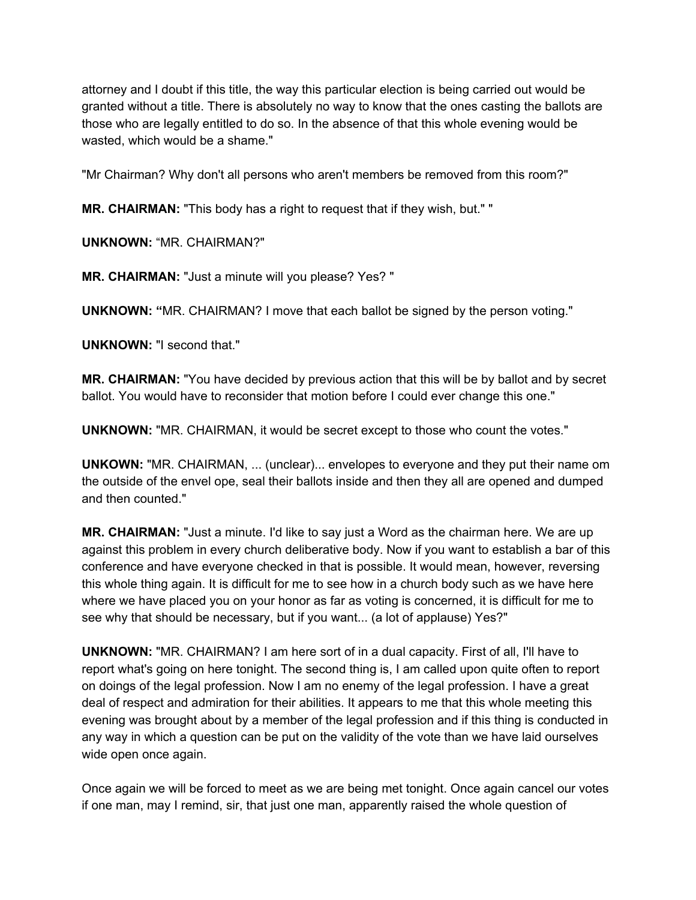attorney and I doubt if this title, the way this particular election is being carried out would be granted without a title. There is absolutely no way to know that the ones casting the ballots are those who are legally entitled to do so. In the absence of that this whole evening would be wasted, which would be a shame."

"Mr Chairman? Why don't all persons who aren't members be removed from this room?"

**MR. CHAIRMAN:** "This body has a right to request that if they wish, but." "

**UNKNOWN:** "MR. CHAIRMAN?"

**MR. CHAIRMAN:** "Just a minute will you please? Yes? "

**UNKNOWN: "**MR. CHAIRMAN? I move that each ballot be signed by the person voting."

**UNKNOWN:** "I second that."

**MR. CHAIRMAN:** "You have decided by previous action that this will be by ballot and by secret ballot. You would have to reconsider that motion before I could ever change this one."

**UNKNOWN:** "MR. CHAIRMAN, it would be secret except to those who count the votes."

**UNKOWN:** "MR. CHAIRMAN, ... (unclear)... envelopes to everyone and they put their name om the outside of the envel ope, seal their ballots inside and then they all are opened and dumped and then counted."

**MR. CHAIRMAN:** "Just a minute. I'd like to say just a Word as the chairman here. We are up against this problem in every church deliberative body. Now if you want to establish a bar of this conference and have everyone checked in that is possible. It would mean, however, reversing this whole thing again. It is difficult for me to see how in a church body such as we have here where we have placed you on your honor as far as voting is concerned, it is difficult for me to see why that should be necessary, but if you want... (a lot of applause) Yes?"

**UNKNOWN:** "MR. CHAIRMAN? I am here sort of in a dual capacity. First of all, I'll have to report what's going on here tonight. The second thing is, I am called upon quite often to report on doings of the legal profession. Now I am no enemy of the legal profession. I have a great deal of respect and admiration for their abilities. It appears to me that this whole meeting this evening was brought about by a member of the legal profession and if this thing is conducted in any way in which a question can be put on the validity of the vote than we have laid ourselves wide open once again.

Once again we will be forced to meet as we are being met tonight. Once again cancel our votes if one man, may I remind, sir, that just one man, apparently raised the whole question of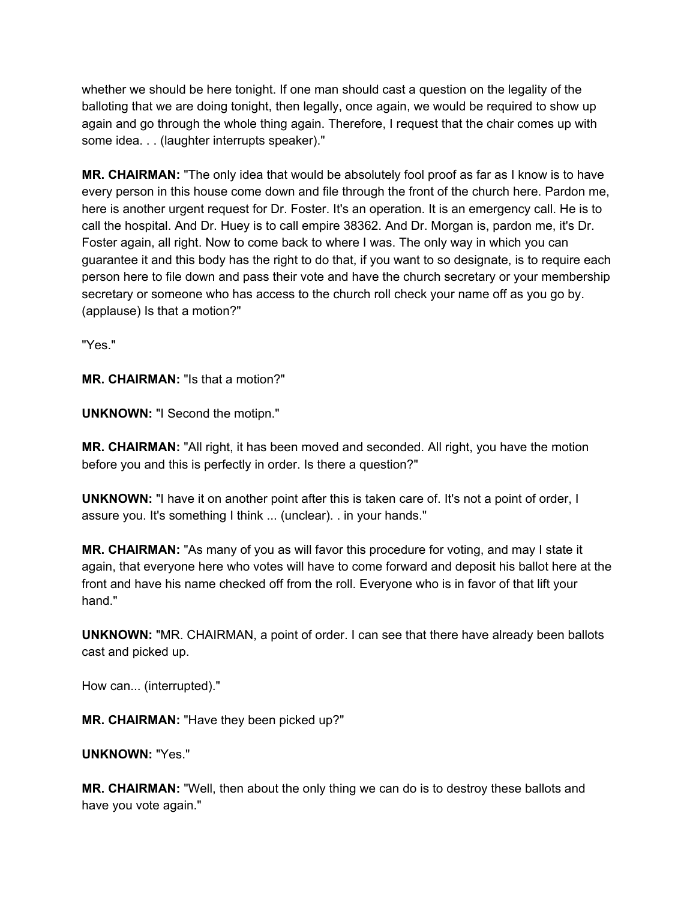whether we should be here tonight. If one man should cast a question on the legality of the balloting that we are doing tonight, then legally, once again, we would be required to show up again and go through the whole thing again. Therefore, I request that the chair comes up with some idea. . . (laughter interrupts speaker)."

**MR. CHAIRMAN:** "The only idea that would be absolutely fool proof as far as I know is to have every person in this house come down and file through the front of the church here. Pardon me, here is another urgent request for Dr. Foster. It's an operation. It is an emergency call. He is to call the hospital. And Dr. Huey is to call empire 38362. And Dr. Morgan is, pardon me, it's Dr. Foster again, all right. Now to come back to where I was. The only way in which you can guarantee it and this body has the right to do that, if you want to so designate, is to require each person here to file down and pass their vote and have the church secretary or your membership secretary or someone who has access to the church roll check your name off as you go by. (applause) Is that a motion?"

"Yes."

**MR. CHAIRMAN:** "Is that a motion?"

**UNKNOWN:** "I Second the motipn."

**MR. CHAIRMAN:** "All right, it has been moved and seconded. All right, you have the motion before you and this is perfectly in order. Is there a question?"

**UNKNOWN:** "I have it on another point after this is taken care of. It's not a point of order, I assure you. It's something I think ... (unclear). . in your hands."

**MR. CHAIRMAN:** "As many of you as will favor this procedure for voting, and may I state it again, that everyone here who votes will have to come forward and deposit his ballot here at the front and have his name checked off from the roll. Everyone who is in favor of that lift your hand."

**UNKNOWN:** "MR. CHAIRMAN, a point of order. I can see that there have already been ballots cast and picked up.

How can... (interrupted)."

**MR. CHAIRMAN:** "Have they been picked up?"

**UNKNOWN:** "Yes."

**MR. CHAIRMAN:** "Well, then about the only thing we can do is to destroy these ballots and have you vote again."